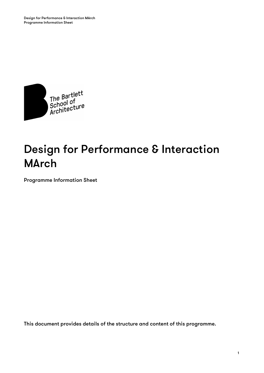

# Design for Performance & Interaction MArch

Programme Information Sheet

This document provides details of the structure and content of this programme.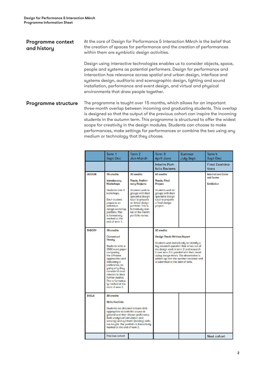# Programme context and history At the core of Design for Performance & Interaction MArch is the belief that the creation of spaces for performance and the creation of performances within them are symbiotic design activities. Design using interactive technologies enables us to consider objects, space, people and systems as potential performers. Design for performance and interaction has relevance across spatial and urban design, interface and systems design, auditoria and scenographic design, lighting and sound installation, performance and event design, and virtual and physical environments that draw people together. Programme structure The programme is taught over 15 months, which allows for an important three-month overlap between incoming and graduating students. This overlap is designed so that the output of the previous cohort can inspire the incoming students in the autumn term. This programme is structured to offer the widest scope for creativity in the design modules. Students can choose to make performances, make settings for performances or combine the two using any medium or technology that they choose.

|               | Term 1<br>Sept-Dec                                                                                                                                                                                                                                                                                                   | Term <sub>2</sub><br><b>Jan-March</b>                                                                                      | Term <sub>3</sub><br>April-June                                                                                                                                                                                                                                                                                                                    | <b>Summer</b><br>July-Sept | Term 4<br>Sept-Dec                      |
|---------------|----------------------------------------------------------------------------------------------------------------------------------------------------------------------------------------------------------------------------------------------------------------------------------------------------------------------|----------------------------------------------------------------------------------------------------------------------------|----------------------------------------------------------------------------------------------------------------------------------------------------------------------------------------------------------------------------------------------------------------------------------------------------------------------------------------------------|----------------------------|-----------------------------------------|
|               |                                                                                                                                                                                                                                                                                                                      |                                                                                                                            | Interim Port-<br><b>folio Reviews</b>                                                                                                                                                                                                                                                                                                              |                            | <b>Final Examina-</b><br>tions          |
| <b>DESIGN</b> | 15 credits                                                                                                                                                                                                                                                                                                           | 30 credits                                                                                                                 | 60 credits                                                                                                                                                                                                                                                                                                                                         |                            | <b>Internal and Exter-</b><br>nal Exams |
|               | Introductory<br><b>Workshops</b>                                                                                                                                                                                                                                                                                     | Thesis, Prelimi-<br>nary Projects                                                                                          | <b>Thesis, Final</b><br>Project                                                                                                                                                                                                                                                                                                                    |                            | <b>Exhibition</b>                       |
|               | Students take 3<br>workshops.                                                                                                                                                                                                                                                                                        | Students work in<br>groups with their<br>specialist design                                                                 | Students work in<br>groups with their<br>specialist design                                                                                                                                                                                                                                                                                         |                            |                                         |
|               | <b>Each student</b><br>prepares an<br>individual<br>design workshop<br>portfolio. This<br>is formatively<br>marked at the<br>end of term 1.                                                                                                                                                                          | tutor to prepare<br>an initial design<br>portfolio. This is<br>formatively mar-<br>ket at the interim<br>portfolio review. | tutor to prepare<br>a final design<br>project.                                                                                                                                                                                                                                                                                                     |                            |                                         |
| <b>THEORY</b> | 15 credits                                                                                                                                                                                                                                                                                                           |                                                                                                                            | 30 credits                                                                                                                                                                                                                                                                                                                                         |                            |                                         |
|               | Contextual<br><b>Theory</b><br>Students write a<br>2500 word paper<br>comparing<br>the different<br>approaches and<br>indicating a<br>preference, ar-<br>guing why they<br>consider it most<br>relevant to their<br>further studies.<br>This is formative-<br>ly marked at the<br>start of term 2.                   |                                                                                                                            | <b>Design Thesis Written Report</b><br>Students work Individually to Identify a<br>key research question that arises out of<br>the design work in term 2 and research<br>it over term 3 in parallel with their devel-<br>oping design thesis. The dissertation is<br>written up over the summer vacation and<br>is submitted at the start of term. |                            |                                         |
| <b>SKILLS</b> | 30 credits<br><b>Skills Portfolio</b><br>Students are directed to learn skills<br>appropriate to both the course in<br>general and their chosen preference.<br>Both analytical (simulation and<br>sensing) and synthetic (making) skills<br>are taught. The portfolio is formatively<br>marked at the end of term 2. |                                                                                                                            |                                                                                                                                                                                                                                                                                                                                                    |                            |                                         |
|               | Previous cohort                                                                                                                                                                                                                                                                                                      |                                                                                                                            |                                                                                                                                                                                                                                                                                                                                                    |                            | <b>Next cohort</b>                      |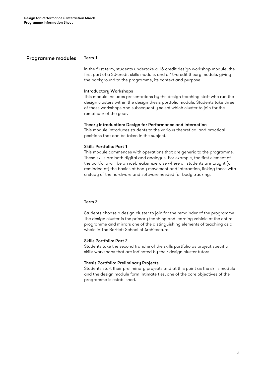## Programme modules Term 1

In the first term, students undertake a 15-credit design workshop module, the first part of a 30-credit skills module, and a 15-credit theory module, giving the background to the programme, its context and purpose.

#### Introductory Workshops

This module includes presentations by the design teaching staff who run the design clusters within the design thesis portfolio module. Students take three of these workshops and subsequently select which cluster to join for the remainder of the year.

## Theory Introduction: Design for Performance and Interaction

This module introduces students to the various theoretical and practical positions that can be taken in the subject.

#### Skills Portfolio: Part 1

This module commences with operations that are generic to the programme. These skills are both digital and analogue. For example, the first element of the portfolio will be an icebreaker exercise where all students are taught (or reminded of) the basics of body movement and interaction, linking these with a study of the hardware and software needed for body tracking.

## Term 2

Students choose a design cluster to join for the remainder of the programme. The design cluster is the primary teaching and learning vehicle of the entire programme and mirrors one of the distinguishing elements of teaching as a whole in The Bartlett School of Architecture.

#### Skills Portfolio: Part 2

Students take the second tranche of the skills portfolio as project specific skills workshops that are indicated by their design cluster tutors.

## Thesis Portfolio: Preliminary Projects

Students start their preliminary projects and at this point as the skills module and the design module form intimate ties, one of the core objectives of the programme is established.